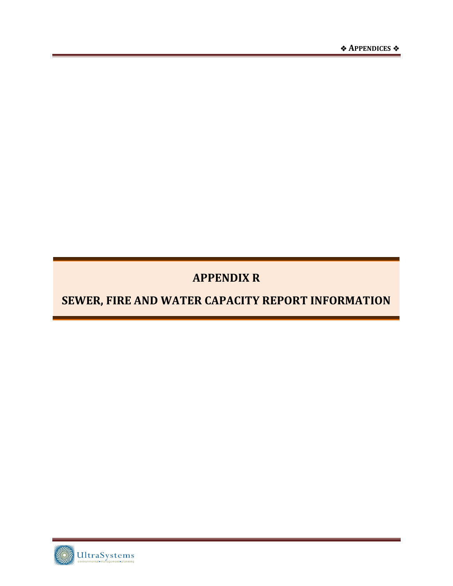### **APPENDIX R**

### **SEWER, FIRE AND WATER CAPACITY REPORT INFORMATION**

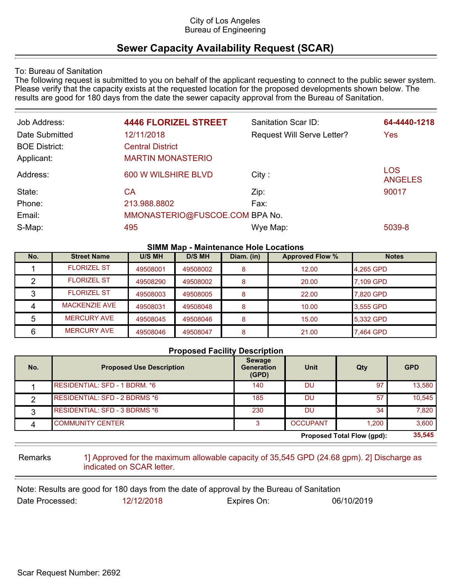#### City of Los Angeles Bureau of Engineering

### **Sewer Capacity Availability Request (SCAR)**

To: Bureau of Sanitation

The following request is submitted to you on behalf of the applicant requesting to connect to the public sewer system. Please verify that the capacity exists at the requested location for the proposed developments shown below. The results are good for 180 days from the date the sewer capacity approval from the Bureau of Sanitation.

| Job Address:         | <b>4446 FLORIZEL STREET</b>    | Sanitation Scar ID:               | 64-4440-1218                 |
|----------------------|--------------------------------|-----------------------------------|------------------------------|
| Date Submitted       | 12/11/2018                     | <b>Request Will Serve Letter?</b> | Yes                          |
| <b>BOE District:</b> | <b>Central District</b>        |                                   |                              |
| Applicant:           | <b>MARTIN MONASTERIO</b>       |                                   |                              |
| Address:             | 600 W WILSHIRE BLVD            | City:                             | <b>LOS</b><br><b>ANGELES</b> |
| State:               | СA                             | Zip:                              | 90017                        |
| Phone:               | 213.988.8802                   | Fax:                              |                              |
| Email:               | MMONASTERIO@FUSCOE.COM BPA No. |                                   |                              |
| S-Map:               | 495                            | Wye Map:                          | 5039-8                       |

#### **SIMM Map - Maintenance Hole Locations**

| No. | <b>Street Name</b>   | U/S MH   | <b>D/S MH</b> | Diam. (in) | <b>Approved Flow %</b> | <b>Notes</b> |
|-----|----------------------|----------|---------------|------------|------------------------|--------------|
|     | <b>FLORIZEL ST</b>   | 49508001 | 49508002      | 8          | 12.00                  | 4.265 GPD    |
|     | <b>FLORIZEL ST</b>   | 49508290 | 49508002      |            | 20.00                  | 7.109 GPD    |
|     | <b>FLORIZEL ST</b>   | 49508003 | 49508005      | 8          | 22.00                  | 7.820 GPD    |
|     | <b>MACKENZIE AVE</b> | 49508031 | 49508048      | 8          | 10.00                  | 3,555 GPD    |
|     | <b>MERCURY AVE</b>   | 49508045 | 49508046      | 8          | 15.00                  | 5.332 GPD    |
| 6   | <b>MERCURY AVE</b>   | 49508046 | 49508047      | 8          | 21.00                  | 7.464 GPD    |

#### **Proposed Facility Description**

| No. | <b>Proposed Use Description</b>      | <b>Sewage</b><br><b>Generation</b><br>(GPD) | <b>Unit</b>     | Qty                        | <b>GPD</b> |
|-----|--------------------------------------|---------------------------------------------|-----------------|----------------------------|------------|
|     | RESIDENTIAL: SFD - 1 BDRM. *6        | 140                                         | <b>DU</b>       | 97                         | 13,580     |
|     | <b>RESIDENTIAL: SFD - 2 BDRMS *6</b> | 185                                         | <b>DU</b>       | 57                         | 10.545     |
|     | <b>RESIDENTIAL: SFD - 3 BDRMS *6</b> | 230                                         | <b>DU</b>       | 34                         | 7,820      |
|     | <b>COMMUNITY CENTER</b>              |                                             | <b>OCCUPANT</b> | 1,200                      | 3,600      |
|     |                                      |                                             |                 | Proposed Total Flow (qpd): | 35,545     |

Remarks 1] Approved for the maximum allowable capacity of 35,545 GPD (24.68 gpm). 2] Discharge as indicated on SCAR letter.

Note: Results are good for 180 days from the date of approval by the Bureau of Sanitation Date Processed: 12/12/2018 Expires On: 06/10/2019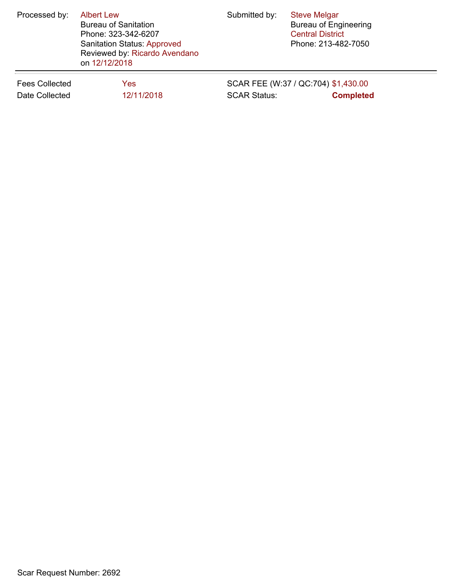| Processed by:         | <b>Albert Lew</b><br><b>Bureau of Sanitation</b><br>Phone: 323-342-6207<br><b>Sanitation Status: Approved</b><br>Reviewed by: Ricardo Avendano<br>on 12/12/2018 | Submitted by:       | <b>Steve Melgar</b><br><b>Bureau of Engineering</b><br><b>Central District</b><br>Phone: 213-482-7050 |
|-----------------------|-----------------------------------------------------------------------------------------------------------------------------------------------------------------|---------------------|-------------------------------------------------------------------------------------------------------|
| <b>Fees Collected</b> | Yes                                                                                                                                                             | <b>SCAR Status:</b> | SCAR FEE (W:37 / QC:704) \$1,430.00                                                                   |
| Date Collected        | 12/11/2018                                                                                                                                                      |                     | <b>Completed</b>                                                                                      |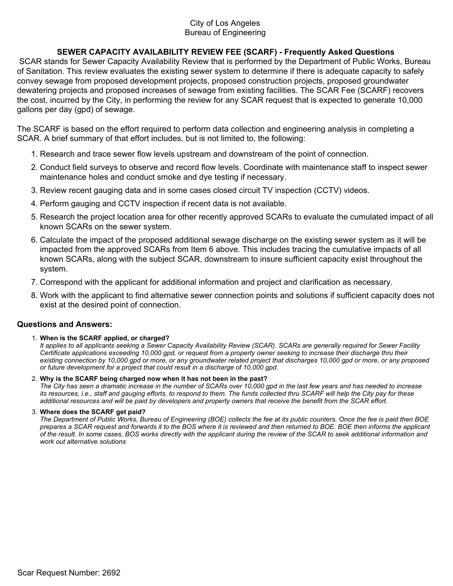#### City of Los Angeles Bureau of Engineering

#### **SEWER CAPACITY AVAILABILITY REVIEW FEE (SCARF) - Frequently Asked Questions**

 SCAR stands for Sewer Capacity Availability Review that is performed by the Department of Public Works, Bureau of Sanitation. This review evaluates the existing sewer system to determine if there is adequate capacity to safely convey sewage from proposed development projects, proposed construction projects, proposed groundwater dewatering projects and proposed increases of sewage from existing facilities. The SCAR Fee (SCARF) recovers the cost, incurred by the City, in performing the review for any SCAR request that is expected to generate 10,000 gallons per day (gpd) of sewage.

The SCARF is based on the effort required to perform data collection and engineering analysis in completing a SCAR. A brief summary of that effort includes, but is not limited to, the following:

- 1. Research and trace sewer flow levels upstream and downstream of the point of connection.
- 2. Conduct field surveys to observe and record flow levels. Coordinate with maintenance staff to inspect sewer maintenance holes and conduct smoke and dye testing if necessary.
- 3. Review recent gauging data and in some cases closed circuit TV inspection (CCTV) videos.
- 4. Perform gauging and CCTV inspection if recent data is not available.
- 5. Research the project location area for other recently approved SCARs to evaluate the cumulated impact of all known SCARs on the sewer system.
- 6. Calculate the impact of the proposed additional sewage discharge on the existing sewer system as it will be impacted from the approved SCARs from Item 6 above. This includes tracing the cumulative impacts of all known SCARs, along with the subject SCAR, downstream to insure sufficient capacity exist throughout the system.
- 7. Correspond with the applicant for additional information and project and clarification as necessary.
- 8. Work with the applicant to find alternative sewer connection points and solutions if sufficient capacity does not exist at the desired point of connection.

#### **Questions and Answers:**

#### **When is the SCARF applied, or charged?** 1.

*It applies to all applicants seeking a Sewer Capacity Availability Review (SCAR). SCARs are generally required for Sewer Facility Certificate applications exceeding 10,000 gpd, or request from a property owner seeking to increase their discharge thru their existing connection by 10,000 gpd or more, or any groundwater related project that discharges 10,000 gpd or more, or any proposed or future development for a project that could result in a discharge of 10,000 gpd.*

**Why is the SCARF being charged now when it has not been in the past?** 2. *The City has seen a dramatic increase in the number of SCARs over 10,000 gpd in the last few years and has needed to increase its resources, i.e., staff and gauging efforts, to respond to them. The funds collected thru SCARF will help the City pay for these additional resources and will be paid by developers and property owners that receive the benefit from the SCAR effort.*

#### **Where does the SCARF get paid?** 3.

*The Department of Public Works, Bureau of Engineering (BOE) collects the fee at its public counters. Once the fee is paid then BOE prepares a SCAR request and forwards it to the BOS where it is reviewed and then returned to BOE. BOE then informs the applicant of the result. In some cases, BOS works directly with the applicant during the review of the SCAR to seek additional information and work out alternative solutions*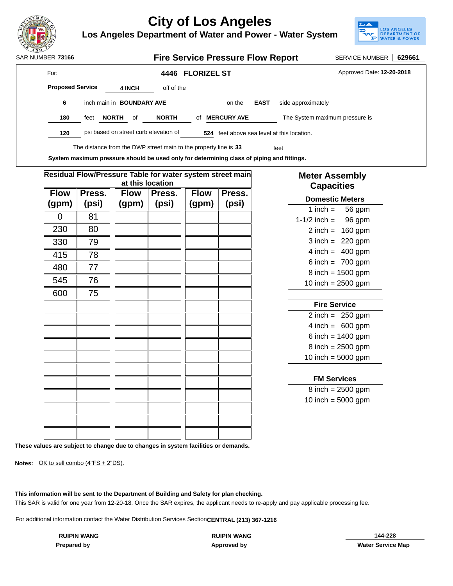

**Los Angeles Department of Water and Power - Water System**



| SAR NUMBER 73166 |                         |                                  |              |        |                                       | <b>Fire Service Pressure Flow Report</b>                                                   |                    |             |                                        | <b>SERVICE NUMBER</b>     | 629661 |
|------------------|-------------------------|----------------------------------|--------------|--------|---------------------------------------|--------------------------------------------------------------------------------------------|--------------------|-------------|----------------------------------------|---------------------------|--------|
| For:             |                         |                                  |              |        | 4446                                  | <b>FLORIZEL ST</b>                                                                         |                    |             |                                        | Approved Date: 12-20-2018 |        |
|                  | <b>Proposed Service</b> |                                  |              | 4 INCH | off of the                            |                                                                                            |                    |             |                                        |                           |        |
|                  | 6                       | inch main in <b>BOUNDARY AVE</b> |              |        |                                       |                                                                                            | on the             | <b>EAST</b> | side approximately                     |                           |        |
|                  | 180                     | feet                             | <b>NORTH</b> | of     | <b>NORTH</b>                          | οf                                                                                         | <b>MERCURY AVE</b> |             | The System maximum pressure is         |                           |        |
|                  | 120                     |                                  |              |        | psi based on street curb elevation of | 524                                                                                        |                    |             | feet above sea level at this location. |                           |        |
|                  |                         |                                  |              |        |                                       | The distance from the DWP street main to the property line is 33                           |                    |             | feet                                   |                           |        |
|                  |                         |                                  |              |        |                                       | Custom maybering negasiya akarda ka ugad ashi far datarmining alaas af nining and fittings |                    |             |                                        |                           |        |

**System maximum pressure should be used only for determining class of piping and fittings.**

|                      |                 | Residual Flow/Pressure Table for water system street main | at this location |                      |                 | <b>Meter Assembly</b><br><b>Capacities</b>         |
|----------------------|-----------------|-----------------------------------------------------------|------------------|----------------------|-----------------|----------------------------------------------------|
| <b>Flow</b><br>(gpm) | Press.<br>(psi) | <b>Flow</b><br>(gpm)                                      | Press.<br>(psi)  | <b>Flow</b><br>(gpm) | Press.<br>(psi) | <b>Domestic Meters</b>                             |
| $\overline{0}$       | 81              |                                                           |                  |                      |                 | 1 inch $=$<br>56 gpm<br>$1 - 1/2$ inch =<br>96 gpm |
| 230                  | 80              |                                                           |                  |                      |                 | $2$ inch = 160 gpm                                 |
| 330                  | 79              |                                                           |                  |                      |                 | $3$ inch = 220 gpm                                 |
| 415                  | 78              |                                                           |                  |                      |                 | $4$ inch = 400 gpm                                 |
| 480                  | 77              |                                                           |                  |                      |                 | 6 inch = $700$ gpm                                 |
|                      |                 |                                                           |                  |                      |                 | $8$ inch = 1500 gpm                                |
| 545                  | 76              |                                                           |                  |                      |                 | 10 inch = $2500$ gpm                               |
| 600                  | 75              |                                                           |                  |                      |                 |                                                    |
|                      |                 |                                                           |                  |                      |                 | <b>Fire Service</b>                                |
|                      |                 |                                                           |                  |                      |                 | $2$ inch = 250 gpm                                 |
|                      |                 |                                                           |                  |                      |                 | $4$ inch = 600 gpm                                 |
|                      |                 |                                                           |                  |                      |                 | 6 inch = $1400$ gpm                                |
|                      |                 |                                                           |                  |                      |                 | $8$ inch = 2500 gpm                                |
|                      |                 |                                                           |                  |                      |                 | 10 inch = $5000$ gpm                               |
|                      |                 |                                                           |                  |                      |                 | <b>FM Services</b>                                 |
|                      |                 |                                                           |                  |                      |                 | $8$ inch = 2500 gpm                                |
|                      |                 |                                                           |                  |                      |                 | 10 inch = $5000$ gpm                               |
|                      |                 |                                                           |                  |                      |                 |                                                    |
|                      |                 |                                                           |                  |                      |                 |                                                    |

**These values are subject to change due to changes in system facilities or demands.**

**Notes:** OK to sell combo (4"FS + 2"DS).

**This information will be sent to the Department of Building and Safety for plan checking.**

This SAR is valid for one year from 12-20-18. Once the SAR expires, the applicant needs to re-apply and pay applicable processing fee.

For additional information contact the Water Distribution Services Section **CENTRAL (213) 367-1216**

**Approved by**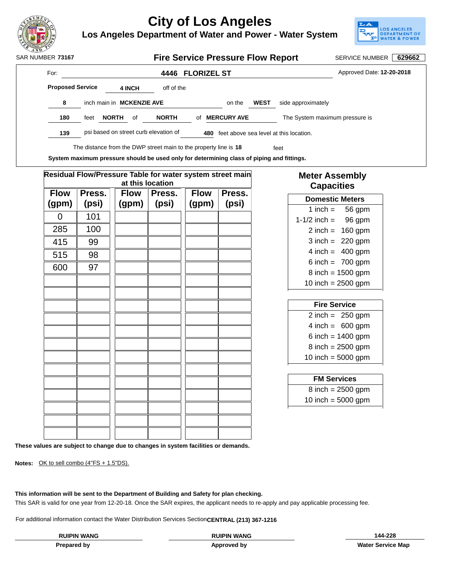

**Los Angeles Department of Water and Power - Water System**



| SAR NUMBER 73167 |                         |                                  |    |                                       | <b>Fire Service Pressure Flow Report</b>                                                   |        |             |                                        | <b>SERVICE NUMBER</b>     | 629662 |
|------------------|-------------------------|----------------------------------|----|---------------------------------------|--------------------------------------------------------------------------------------------|--------|-------------|----------------------------------------|---------------------------|--------|
| For:             |                         |                                  |    | 4446                                  | <b>FLORIZEL ST</b>                                                                         |        |             |                                        | Approved Date: 12-20-2018 |        |
|                  | <b>Proposed Service</b> | 4 INCH                           |    | off of the                            |                                                                                            |        |             |                                        |                           |        |
| 8                |                         | inch main in <b>MCKENZIE AVE</b> |    |                                       |                                                                                            | on the | <b>WEST</b> | side approximately                     |                           |        |
| 180              | feet                    | <b>NORTH</b>                     | 0f | <b>NORTH</b>                          | <b>MERCURY AVE</b><br>οf                                                                   |        |             | The System maximum pressure is         |                           |        |
| 139              |                         |                                  |    | psi based on street curb elevation of | 480                                                                                        |        |             | feet above sea level at this location. |                           |        |
|                  |                         |                                  |    |                                       | The distance from the DWP street main to the property line is 18                           |        |             | feet                                   |                           |        |
|                  |                         |                                  |    |                                       | Custom maybering negasiya akarda ka ugad gulu fay datarmining alaga af nining and fittings |        |             |                                        |                           |        |

**Residual Flow/Pressure Table for water system street main at this location Press. (psi) Press. (psi) Flow (gpm) Press. (psi) Flow (gpm) Flow (gpm)**  $0 \parallel 101$  $285$  | 100 415 | 9.9 515 98 600 97 **Domestic Meters** 1 inch  $=$  56 gpm **System maximum pressure should be used only for determining class of piping and fittings.**

### **Meter Assembly Capacities**

| 1-1/2 inch $=$       | 96 gpm               |
|----------------------|----------------------|
|                      | $2$ inch = 160 gpm   |
|                      | $3$ inch = 220 gpm   |
|                      | $4$ inch = 400 gpm   |
|                      | 6 inch = $700$ gpm   |
|                      | $8$ inch = 1500 gpm  |
| 10 inch = $2500$ gpm |                      |
|                      |                      |
|                      |                      |
| <b>Fire Service</b>  |                      |
|                      | $2$ inch = $250$ gpm |
|                      | $4$ inch = 600 gpm   |
|                      | 6 inch = $1400$ gpm  |
|                      | $8$ inch = 2500 gpm  |
| 10 inch = $5000$ gpm |                      |
|                      |                      |

| <b>FM Services</b>   |
|----------------------|
| $8$ inch = 2500 gpm  |
| 10 inch = $5000$ gpm |

**These values are subject to change due to changes in system facilities or demands.**

**Notes:** OK to sell combo (4"FS + 1.5"DS).

**This information will be sent to the Department of Building and Safety for plan checking.**

This SAR is valid for one year from 12-20-18. Once the SAR expires, the applicant needs to re-apply and pay applicable processing fee.

For additional information contact the Water Distribution Services Section **CENTRAL (213) 367-1216**

**Approved by**

**Prepared by Water Service Map RUIPIN WANG RUIPIN WANG 144-228**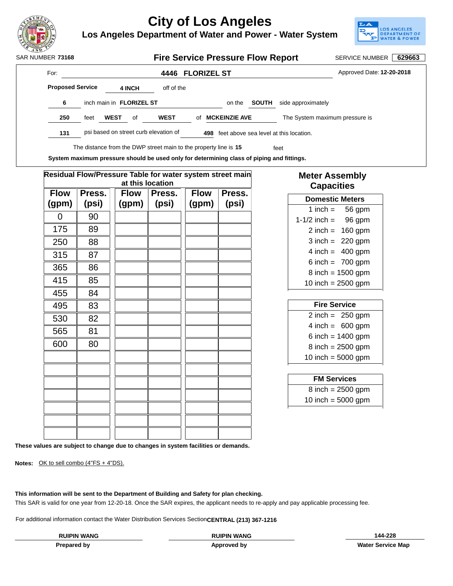

**Los Angeles Department of Water and Power - Water System**



| SAR NUMBER 73168        |      |                                 |        |                                       | <b>Fire Service Pressure Flow Report</b>                         |              |                                        | <b>SERVICE NUMBER</b>     | 629663 |
|-------------------------|------|---------------------------------|--------|---------------------------------------|------------------------------------------------------------------|--------------|----------------------------------------|---------------------------|--------|
| For:                    |      |                                 |        |                                       | 4446 FLORIZEL ST                                                 |              |                                        | Approved Date: 12-20-2018 |        |
| <b>Proposed Service</b> |      |                                 | 4 INCH | off of the                            |                                                                  |              |                                        |                           |        |
| 6                       |      | inch main in <b>FLORIZEL ST</b> |        |                                       | on the                                                           | <b>SOUTH</b> | side approximately                     |                           |        |
| 250                     | feet | <b>WEST</b>                     | 0f     | <b>WEST</b>                           | <b>MCKEINZIE AVE</b><br>οf                                       |              | The System maximum pressure is         |                           |        |
| 131                     |      |                                 |        | psi based on street curb elevation of | 498                                                              |              | feet above sea level at this location. |                           |        |
|                         |      |                                 |        |                                       | The distance from the DWP street main to the property line is 15 |              | feet                                   |                           |        |

**System maximum pressure should be used only for determining class of piping and fittings.**

|                      |                 | Residual Flow/Pressure Table for water system street main | at this location |                      |                 | <b>Meter Assembly</b><br><b>Capacities</b>     |
|----------------------|-----------------|-----------------------------------------------------------|------------------|----------------------|-----------------|------------------------------------------------|
| <b>Flow</b><br>(gpm) | Press.<br>(psi) | <b>Flow</b><br>(gpm)                                      | Press.<br>(psi)  | <b>Flow</b><br>(gpm) | Press.<br>(psi) | <b>Domestic Meters</b>                         |
| $\Omega$             | 90              |                                                           |                  |                      |                 | 1 inch $=$<br>56 gpm<br>1-1/2 inch =<br>96 gpm |
| 175                  | 89              |                                                           |                  |                      |                 | $2$ inch = 160 gpm                             |
| 250                  | 88              |                                                           |                  |                      |                 | $3$ inch = 220 gpm                             |
| 315                  | 87              |                                                           |                  |                      |                 | $4$ inch = 400 gpm                             |
| 365                  | 86              |                                                           |                  |                      |                 | 6 inch = $700$ gpm                             |
|                      |                 |                                                           |                  |                      |                 | $8$ inch = 1500 gpm                            |
| 415                  | 85              |                                                           |                  |                      |                 | 10 inch = $2500$ gpm                           |
| 455                  | 84              |                                                           |                  |                      |                 |                                                |
| 495                  | 83              |                                                           |                  |                      |                 | <b>Fire Service</b>                            |
| 530                  | 82              |                                                           |                  |                      |                 | $2$ inch = 250 gpm                             |
| 565                  | 81              |                                                           |                  |                      |                 | $4$ inch = 600 gpm                             |
|                      |                 |                                                           |                  |                      |                 | 6 inch = $1400$ gpm                            |
| 600                  | 80              |                                                           |                  |                      |                 | $8$ inch = 2500 gpm                            |
|                      |                 |                                                           |                  |                      |                 | 10 inch = $5000$ gpm                           |
|                      |                 |                                                           |                  |                      |                 | <b>FM Services</b>                             |
|                      |                 |                                                           |                  |                      |                 | $8$ inch = 2500 gpm                            |
|                      |                 |                                                           |                  |                      |                 | 10 inch = $5000$ gpm                           |
|                      |                 |                                                           |                  |                      |                 |                                                |
|                      |                 |                                                           |                  |                      |                 |                                                |
|                      |                 |                                                           |                  |                      |                 |                                                |

**These values are subject to change due to changes in system facilities or demands.**

**Notes:** OK to sell combo (4"FS + 4"DS).

**This information will be sent to the Department of Building and Safety for plan checking.**

This SAR is valid for one year from 12-20-18. Once the SAR expires, the applicant needs to re-apply and pay applicable processing fee.

For additional information contact the Water Distribution Services Section **CENTRAL (213) 367-1216**

**Approved by**

**Prepared by Water Service Map RUIPIN WANG RUIPIN WANG 144-228**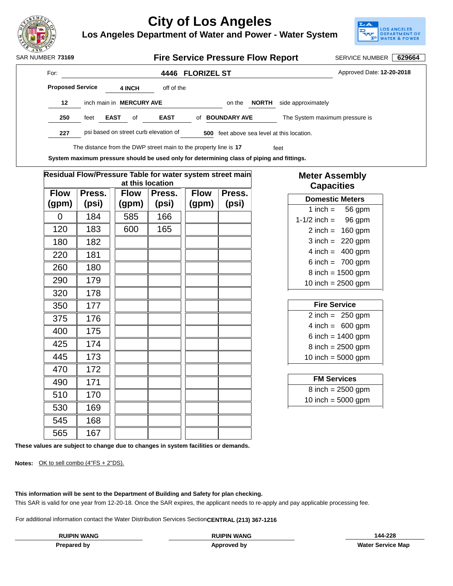

**Los Angeles Department of Water and Power - Water System**



For: **4446 FLORIZEL ST 227 psi based on street curb elevation of** Approved Date: **12-20-2018** 500 feet above sea level at this location. **4 INCH** off of the The distance from the DWP street main to the property line is 17 The street **12** inch main in **MERCURY AVE** on the **NORTH** side approximately **250** feet **EAST** of **EAST** of **BOUNDARY AVE** The System maximum pressure is SAR NUMBER 73169 **Fire Service Pressure Flow Report** SERVICE NUMBER 629664 **Proposed Service**

**System maximum pressure should be used only for determining class of piping and fittings.**

|                      | Residual Flow/Pressure Table for water system street main |                      | at this location |                      |                 | <b>Meter Assembly</b><br><b>Capacities</b> |
|----------------------|-----------------------------------------------------------|----------------------|------------------|----------------------|-----------------|--------------------------------------------|
| <b>Flow</b><br>(gpm) | Press.<br>(psi)                                           | <b>Flow</b><br>(gpm) | Press.<br>(psi)  | <b>Flow</b><br>(gpm) | Press.<br>(psi) | <b>Domestic Meters</b>                     |
| $\Omega$             | 184                                                       | 585                  | 166              |                      |                 | 1 inch $=$<br>56 gpm                       |
|                      |                                                           |                      |                  |                      |                 | 1-1/2 inch $=$<br>96 gpm                   |
| 120                  | 183                                                       | 600                  | 165              |                      |                 | 160 gpm<br>2 inch $=$                      |
| 180                  | 182                                                       |                      |                  |                      |                 | $3$ inch = 220 gpm                         |
| 220                  | 181                                                       |                      |                  |                      |                 | $4$ inch = 400 gpm                         |
| 260                  | 180                                                       |                      |                  |                      |                 | $6$ inch = 700 gpm                         |
|                      |                                                           |                      |                  |                      |                 | $8$ inch = 1500 gpm                        |
| 290                  | 179                                                       |                      |                  |                      |                 | 10 inch = $2500$ gpm                       |
| 320                  | 178                                                       |                      |                  |                      |                 |                                            |
| 350                  | 177                                                       |                      |                  |                      |                 | <b>Fire Service</b>                        |
| 375                  | 176                                                       |                      |                  |                      |                 | $2$ inch = 250 gpm                         |
| 400                  | 175                                                       |                      |                  |                      |                 | $4$ inch = 600 gpm                         |
|                      |                                                           |                      |                  |                      |                 | 6 inch = $1400$ gpm                        |
| 425                  | 174                                                       |                      |                  |                      |                 | $8$ inch = 2500 gpm                        |
| 445                  | 173                                                       |                      |                  |                      |                 | 10 inch = $5000$ gpm                       |
| 470                  | 172                                                       |                      |                  |                      |                 |                                            |
| 490                  | 171                                                       |                      |                  |                      |                 | <b>FM Services</b>                         |
| 510                  | 170                                                       |                      |                  |                      |                 | $8$ inch = 2500 gpm                        |
| 530                  | 169                                                       |                      |                  |                      |                 | 10 inch = $5000$ gpm                       |
|                      |                                                           |                      |                  |                      |                 |                                            |
| 545                  | 168                                                       |                      |                  |                      |                 |                                            |
| 565                  | 167                                                       |                      |                  |                      |                 |                                            |

**These values are subject to change due to changes in system facilities or demands.**

**Notes:** OK to sell combo (4"FS + 2"DS).

**This information will be sent to the Department of Building and Safety for plan checking.**

This SAR is valid for one year from 12-20-18. Once the SAR expires, the applicant needs to re-apply and pay applicable processing fee.

For additional information contact the Water Distribution Services Section **CENTRAL (213) 367-1216**

**Approved by**